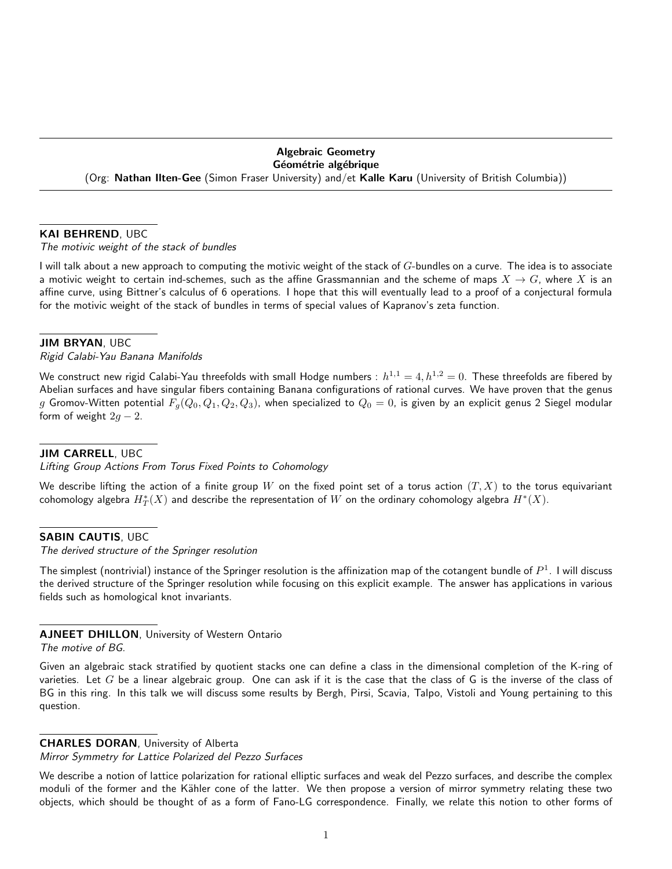#### Algebraic Geometry Géométrie algébrique

(Org: Nathan Ilten-Gee (Simon Fraser University) and/et Kalle Karu (University of British Columbia))

### KAI BEHREND, UBC

The motivic weight of the stack of bundles

I will talk about a new approach to computing the motivic weight of the stack of G-bundles on a curve. The idea is to associate a motivic weight to certain ind-schemes, such as the affine Grassmannian and the scheme of maps  $X \to G$ , where X is an affine curve, using Bittner's calculus of 6 operations. I hope that this will eventually lead to a proof of a conjectural formula for the motivic weight of the stack of bundles in terms of special values of Kapranov's zeta function.

#### JIM BRYAN, UBC

Rigid Calabi-Yau Banana Manifolds

We construct new rigid Calabi-Yau threefolds with small Hodge numbers :  $h^{1,1}=4, h^{1,2}=0.$  These threefolds are fibered by Abelian surfaces and have singular fibers containing Banana configurations of rational curves. We have proven that the genus  $g$  Gromov-Witten potential  $F_g(Q_0,Q_1,Q_2,Q_3)$ , when specialized to  $Q_0=0$ , is given by an explicit genus 2 Siegel modular form of weight  $2g - 2$ .

# JIM CARRELL, UBC

Lifting Group Actions From Torus Fixed Points to Cohomology

We describe lifting the action of a finite group W on the fixed point set of a torus action  $(T, X)$  to the torus equivariant cohomology algebra  $H^*_T(X)$  and describe the representation of  $W$  on the ordinary cohomology algebra  $H^*(X).$ 

# **SABIN CAUTIS, UBC**

The derived structure of the Springer resolution

The simplest (nontrivial) instance of the Springer resolution is the affinization map of the cotangent bundle of  $P^1$ . I will discuss the derived structure of the Springer resolution while focusing on this explicit example. The answer has applications in various fields such as homological knot invariants.

# AJNEET DHILLON, University of Western Ontario The motive of BG.

Given an algebraic stack stratified by quotient stacks one can define a class in the dimensional completion of the K-ring of varieties. Let  $G$  be a linear algebraic group. One can ask if it is the case that the class of  $G$  is the inverse of the class of BG in this ring. In this talk we will discuss some results by Bergh, Pirsi, Scavia, Talpo, Vistoli and Young pertaining to this question.

# CHARLES DORAN, University of Alberta

Mirror Symmetry for Lattice Polarized del Pezzo Surfaces

We describe a notion of lattice polarization for rational elliptic surfaces and weak del Pezzo surfaces, and describe the complex moduli of the former and the Kähler cone of the latter. We then propose a version of mirror symmetry relating these two objects, which should be thought of as a form of Fano-LG correspondence. Finally, we relate this notion to other forms of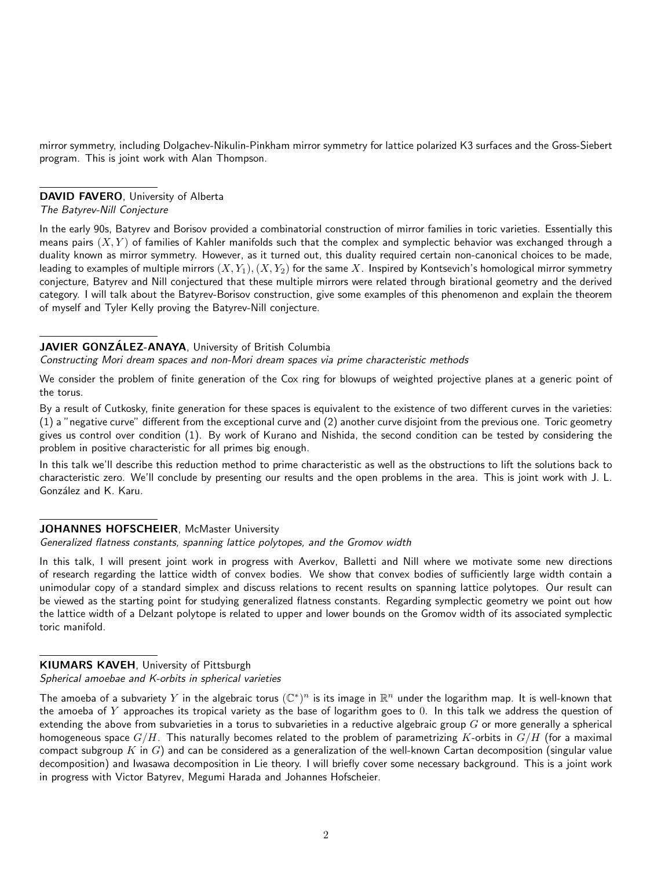mirror symmetry, including Dolgachev-Nikulin-Pinkham mirror symmetry for lattice polarized K3 surfaces and the Gross-Siebert program. This is joint work with Alan Thompson.

## DAVID FAVERO, University of Alberta

The Batyrev-Nill Conjecture

In the early 90s, Batyrev and Borisov provided a combinatorial construction of mirror families in toric varieties. Essentially this means pairs  $(X, Y)$  of families of Kahler manifolds such that the complex and symplectic behavior was exchanged through a duality known as mirror symmetry. However, as it turned out, this duality required certain non-canonical choices to be made, leading to examples of multiple mirrors  $(X, Y_1), (X, Y_2)$  for the same X. Inspired by Kontsevich's homological mirror symmetry conjecture, Batyrev and Nill conjectured that these multiple mirrors were related through birational geometry and the derived category. I will talk about the Batyrev-Borisov construction, give some examples of this phenomenon and explain the theorem of myself and Tyler Kelly proving the Batyrev-Nill conjecture.

## JAVIER GONZÁLEZ-ANAYA, University of British Columbia

Constructing Mori dream spaces and non-Mori dream spaces via prime characteristic methods

We consider the problem of finite generation of the Cox ring for blowups of weighted projective planes at a generic point of the torus.

By a result of Cutkosky, finite generation for these spaces is equivalent to the existence of two different curves in the varieties: (1) a "negative curve" different from the exceptional curve and (2) another curve disjoint from the previous one. Toric geometry gives us control over condition (1). By work of Kurano and Nishida, the second condition can be tested by considering the problem in positive characteristic for all primes big enough.

In this talk we'll describe this reduction method to prime characteristic as well as the obstructions to lift the solutions back to characteristic zero. We'll conclude by presenting our results and the open problems in the area. This is joint work with J. L. González and K. Karu.

# JOHANNES HOFSCHEIER, McMaster University

Generalized flatness constants, spanning lattice polytopes, and the Gromov width

In this talk, I will present joint work in progress with Averkov, Balletti and Nill where we motivate some new directions of research regarding the lattice width of convex bodies. We show that convex bodies of sufficiently large width contain a unimodular copy of a standard simplex and discuss relations to recent results on spanning lattice polytopes. Our result can be viewed as the starting point for studying generalized flatness constants. Regarding symplectic geometry we point out how the lattice width of a Delzant polytope is related to upper and lower bounds on the Gromov width of its associated symplectic toric manifold.

# KIUMARS KAVEH, University of Pittsburgh

Spherical amoebae and K-orbits in spherical varieties

The amoeba of a subvariety  $Y$  in the algebraic torus  $(\mathbb{C}^*)^n$  is its image in  $\mathbb{R}^n$  under the logarithm map. It is well-known that the amoeba of  $Y$  approaches its tropical variety as the base of logarithm goes to  $0$ . In this talk we address the question of extending the above from subvarieties in a torus to subvarieties in a reductive algebraic group  $G$  or more generally a spherical homogeneous space  $G/H$ . This naturally becomes related to the problem of parametrizing K-orbits in  $G/H$  (for a maximal compact subgroup K in  $G$ ) and can be considered as a generalization of the well-known Cartan decomposition (singular value decomposition) and Iwasawa decomposition in Lie theory. I will briefly cover some necessary background. This is a joint work in progress with Victor Batyrev, Megumi Harada and Johannes Hofscheier.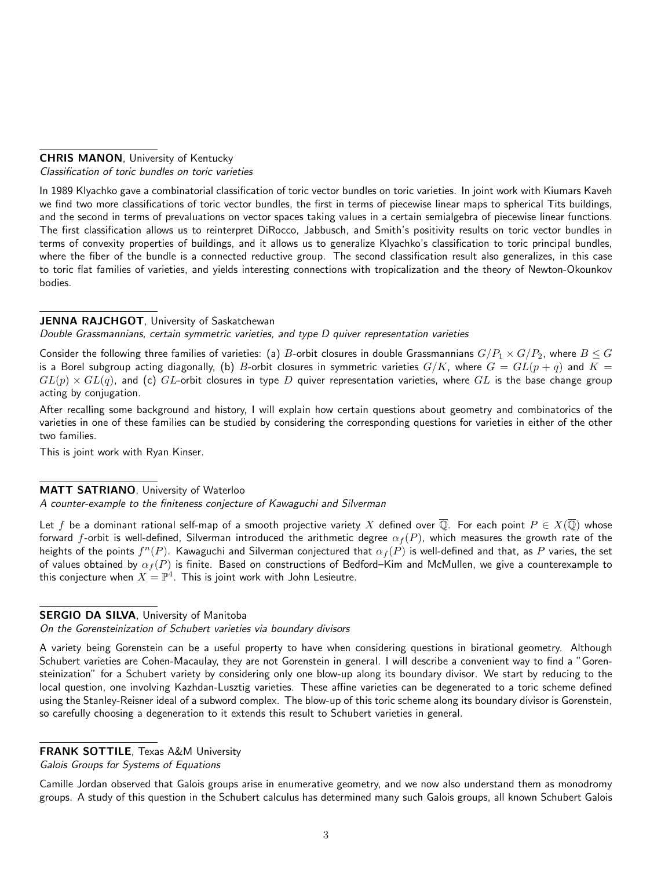### CHRIS MANON, University of Kentucky Classification of toric bundles on toric varieties

In 1989 Klyachko gave a combinatorial classification of toric vector bundles on toric varieties. In joint work with Kiumars Kaveh we find two more classifications of toric vector bundles, the first in terms of piecewise linear maps to spherical Tits buildings, and the second in terms of prevaluations on vector spaces taking values in a certain semialgebra of piecewise linear functions. The first classification allows us to reinterpret DiRocco, Jabbusch, and Smith's positivity results on toric vector bundles in terms of convexity properties of buildings, and it allows us to generalize Klyachko's classification to toric principal bundles, where the fiber of the bundle is a connected reductive group. The second classification result also generalizes, in this case to toric flat families of varieties, and yields interesting connections with tropicalization and the theory of Newton-Okounkov bodies.

# JENNA RAJCHGOT, University of Saskatchewan

Double Grassmannians, certain symmetric varieties, and type D quiver representation varieties

Consider the following three families of varieties: (a) B-orbit closures in double Grassmannians  $G/P_1 \times G/P_2$ , where  $B \leq G$ is a Borel subgroup acting diagonally, (b) B-orbit closures in symmetric varieties  $G/K$ , where  $G = GL(p + q)$  and  $K =$  $GL(p) \times GL(q)$ , and (c) GL-orbit closures in type D quiver representation varieties, where GL is the base change group acting by conjugation.

After recalling some background and history, I will explain how certain questions about geometry and combinatorics of the varieties in one of these families can be studied by considering the corresponding questions for varieties in either of the other two families.

This is joint work with Ryan Kinser.

# MATT SATRIANO, University of Waterloo

A counter-example to the finiteness conjecture of Kawaguchi and Silverman

Let f be a dominant rational self-map of a smooth projective variety X defined over  $\overline{Q}$ . For each point  $P \in X(\overline{Q})$  whose forward f-orbit is well-defined, Silverman introduced the arithmetic degree  $\alpha_f(P)$ , which measures the growth rate of the heights of the points  $f^n(P)$ . Kawaguchi and Silverman conjectured that  $\alpha_f(P)$  is well-defined and that, as  $P$  varies, the set of values obtained by  $\alpha_f(P)$  is finite. Based on constructions of Bedford–Kim and McMullen, we give a counterexample to this conjecture when  $X=\mathbb{P}^4.$  This is joint work with John Lesieutre.

# SERGIO DA SILVA, University of Manitoba

On the Gorensteinization of Schubert varieties via boundary divisors

A variety being Gorenstein can be a useful property to have when considering questions in birational geometry. Although Schubert varieties are Cohen-Macaulay, they are not Gorenstein in general. I will describe a convenient way to find a "Gorensteinization" for a Schubert variety by considering only one blow-up along its boundary divisor. We start by reducing to the local question, one involving Kazhdan-Lusztig varieties. These affine varieties can be degenerated to a toric scheme defined using the Stanley-Reisner ideal of a subword complex. The blow-up of this toric scheme along its boundary divisor is Gorenstein, so carefully choosing a degeneration to it extends this result to Schubert varieties in general.

FRANK SOTTILE, Texas A&M University

Galois Groups for Systems of Equations

Camille Jordan observed that Galois groups arise in enumerative geometry, and we now also understand them as monodromy groups. A study of this question in the Schubert calculus has determined many such Galois groups, all known Schubert Galois